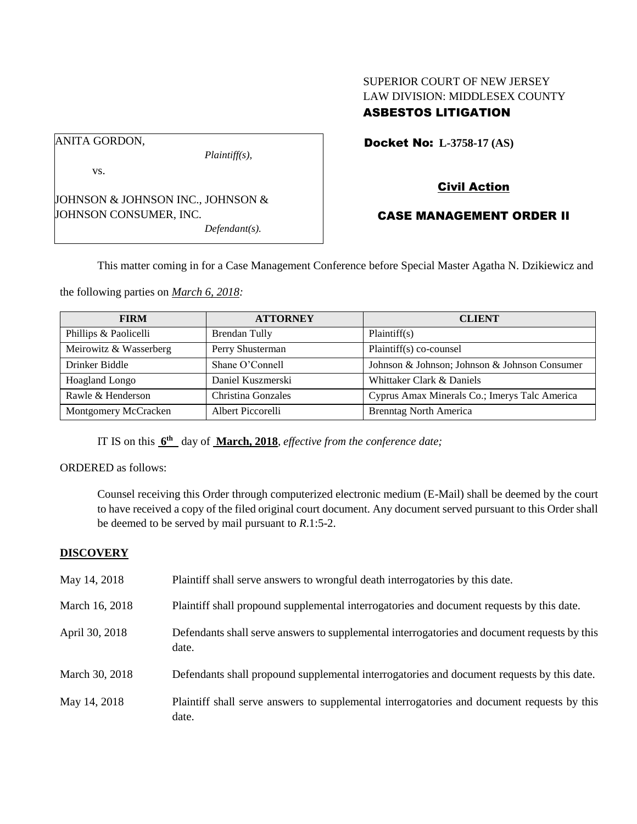## SUPERIOR COURT OF NEW JERSEY LAW DIVISION: MIDDLESEX COUNTY ASBESTOS LITIGATION

ANITA GORDON,

vs.

*Plaintiff(s),*

JOHNSON & JOHNSON INC., JOHNSON & JOHNSON CONSUMER, INC. *Defendant(s).*

Docket No: **L-3758-17 (AS)** 

# Civil Action

## CASE MANAGEMENT ORDER II

This matter coming in for a Case Management Conference before Special Master Agatha N. Dzikiewicz and

the following parties on *March 6, 2018:*

| <b>FIRM</b>            | <b>ATTORNEY</b>      | <b>CLIENT</b>                                 |
|------------------------|----------------------|-----------------------------------------------|
| Phillips & Paolicelli  | <b>Brendan Tully</b> | Plaintiff(s)                                  |
| Meirowitz & Wasserberg | Perry Shusterman     | Plaintiff(s) co-counsel                       |
| Drinker Biddle         | Shane O'Connell      | Johnson & Johnson; Johnson & Johnson Consumer |
| <b>Hoagland Longo</b>  | Daniel Kuszmerski    | Whittaker Clark & Daniels                     |
| Rawle & Henderson      | Christina Gonzales   | Cyprus Amax Minerals Co.; Imerys Talc America |
| Montgomery McCracken   | Albert Piccorelli    | <b>Brenntag North America</b>                 |

IT IS on this  $6^{\text{th}}$  day of March, 2018, *effective from the conference date*;

ORDERED as follows:

Counsel receiving this Order through computerized electronic medium (E-Mail) shall be deemed by the court to have received a copy of the filed original court document. Any document served pursuant to this Order shall be deemed to be served by mail pursuant to *R*.1:5-2.

### **DISCOVERY**

| May 14, 2018   | Plaintiff shall serve answers to wrongful death interrogatories by this date.                         |
|----------------|-------------------------------------------------------------------------------------------------------|
| March 16, 2018 | Plaintiff shall propound supplemental interrogatories and document requests by this date.             |
| April 30, 2018 | Defendants shall serve answers to supplemental interrogatories and document requests by this<br>date. |
| March 30, 2018 | Defendants shall propound supplemental interrogatories and document requests by this date.            |
| May 14, 2018   | Plaintiff shall serve answers to supplemental interrogatories and document requests by this<br>date.  |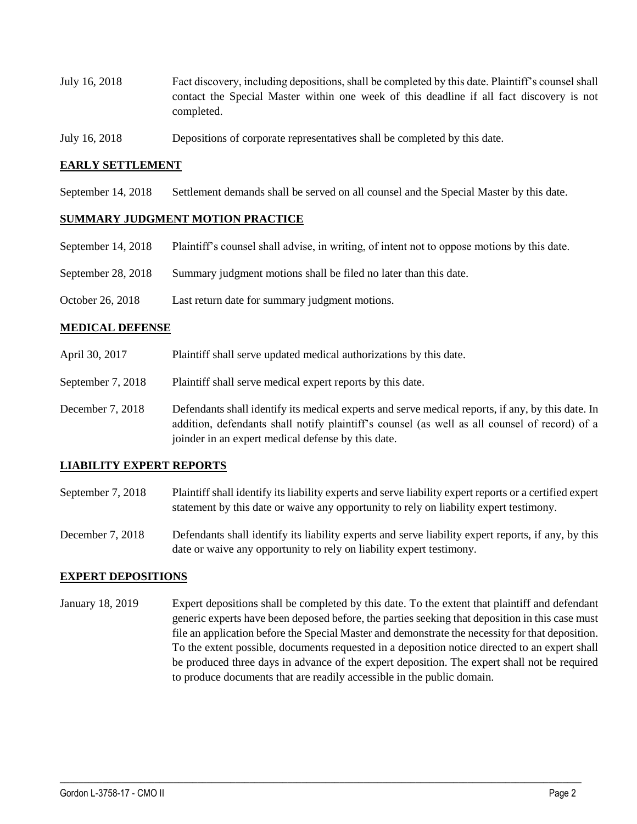- July 16, 2018 Fact discovery, including depositions, shall be completed by this date. Plaintiff's counsel shall contact the Special Master within one week of this deadline if all fact discovery is not completed.
- July 16, 2018 Depositions of corporate representatives shall be completed by this date.

#### **EARLY SETTLEMENT**

September 14, 2018 Settlement demands shall be served on all counsel and the Special Master by this date.

#### **SUMMARY JUDGMENT MOTION PRACTICE**

- September 14, 2018 Plaintiff's counsel shall advise, in writing, of intent not to oppose motions by this date.
- September 28, 2018 Summary judgment motions shall be filed no later than this date.
- October 26, 2018 Last return date for summary judgment motions.

#### **MEDICAL DEFENSE**

- April 30, 2017 Plaintiff shall serve updated medical authorizations by this date.
- September 7, 2018 Plaintiff shall serve medical expert reports by this date.
- December 7, 2018 Defendants shall identify its medical experts and serve medical reports, if any, by this date. In addition, defendants shall notify plaintiff's counsel (as well as all counsel of record) of a joinder in an expert medical defense by this date.

### **LIABILITY EXPERT REPORTS**

- September 7, 2018 Plaintiff shall identify its liability experts and serve liability expert reports or a certified expert statement by this date or waive any opportunity to rely on liability expert testimony.
- December 7, 2018 Defendants shall identify its liability experts and serve liability expert reports, if any, by this date or waive any opportunity to rely on liability expert testimony.

#### **EXPERT DEPOSITIONS**

January 18, 2019 Expert depositions shall be completed by this date. To the extent that plaintiff and defendant generic experts have been deposed before, the parties seeking that deposition in this case must file an application before the Special Master and demonstrate the necessity for that deposition. To the extent possible, documents requested in a deposition notice directed to an expert shall be produced three days in advance of the expert deposition. The expert shall not be required to produce documents that are readily accessible in the public domain.

 $\_$  ,  $\_$  ,  $\_$  ,  $\_$  ,  $\_$  ,  $\_$  ,  $\_$  ,  $\_$  ,  $\_$  ,  $\_$  ,  $\_$  ,  $\_$  ,  $\_$  ,  $\_$  ,  $\_$  ,  $\_$  ,  $\_$  ,  $\_$  ,  $\_$  ,  $\_$  ,  $\_$  ,  $\_$  ,  $\_$  ,  $\_$  ,  $\_$  ,  $\_$  ,  $\_$  ,  $\_$  ,  $\_$  ,  $\_$  ,  $\_$  ,  $\_$  ,  $\_$  ,  $\_$  ,  $\_$  ,  $\_$  ,  $\_$  ,